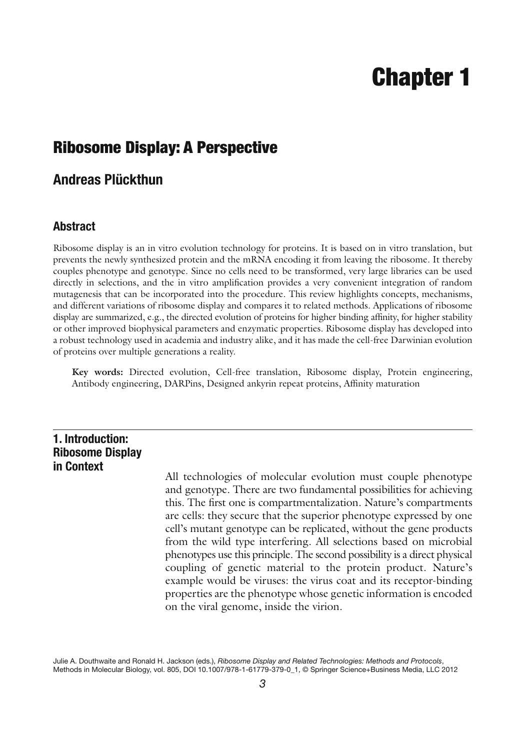# **Chapter 1**

# **Ribosome Display: A Perspective**

## **Andreas Plückthun**

#### **Abstract**

Ribosome display is an in vitro evolution technology for proteins. It is based on in vitro translation, but prevents the newly synthesized protein and the mRNA encoding it from leaving the ribosome . It thereby couples phenotype and genotype. Since no cells need to be transformed, very large libraries can be used directly in selections, and the in vitro amplification provides a very convenient integration of random mutagenesis that can be incorporated into the procedure. This review highlights concepts, mechanisms, and different variations of ribosome display and compares it to related methods. Applications of ribosome display are summarized, e.g., the directed evolution of proteins for higher binding affinity, for higher stability or other improved biophysical parameters and enzymatic properties. Ribosome display has developed into a robust technology used in academia and industry alike, and it has made the cell-free Darwinian evolution of proteins over multiple generations a reality.

Key words: Directed evolution, Cell-free translation, Ribosome display, Protein engineering, Antibody engineering, DARPins, Designed ankyrin repeat proteins, Affinity maturation

### **1. Introduction: Ribosome Display in Context**

All technologies of molecular evolution must couple phenotype and genotype. There are two fundamental possibilities for achieving this. The first one is compartmentalization. Nature's compartments are cells: they secure that the superior phenotype expressed by one cell's mutant genotype can be replicated, without the gene products from the wild type interfering. All selections based on microbial phenotypes use this principle. The second possibility is a direct physical coupling of genetic material to the protein product. Nature's example would be viruses: the virus coat and its receptor-binding properties are the phenotype whose genetic information is encoded on the viral genome, inside the virion.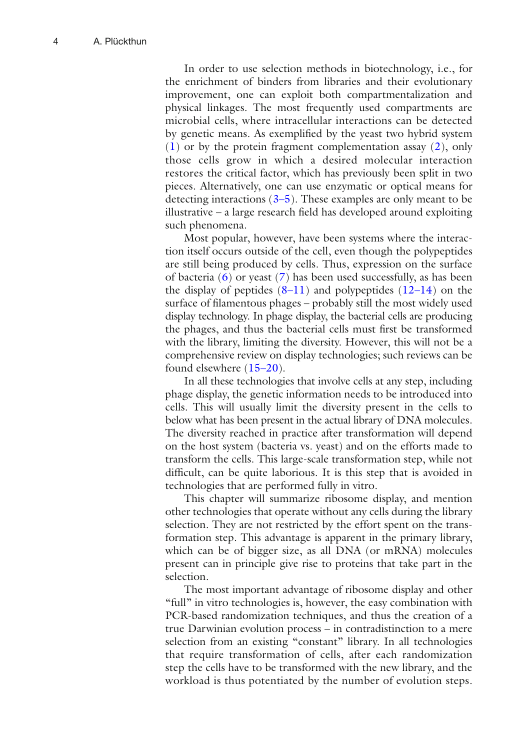In order to use selection methods in biotechnology, i.e., for the enrichment of binders from libraries and their evolutionary improvement, one can exploit both compartmentalization and physical linkages. The most frequently used compartments are microbial cells, where intracellular interactions can be detected by genetic means. As exemplified by the yeast two hybrid system  $(1)$  or by the protein fragment complementation assay  $(2)$ , only those cells grow in which a desired molecular interaction restores the critical factor, which has previously been split in two pieces. Alternatively, one can use enzymatic or optical means for detecting interactions  $(3-5)$ . These examples are only meant to be illustrative – a large research field has developed around exploiting such phenomena.

Most popular, however, have been systems where the interaction itself occurs outside of the cell, even though the polypeptides are still being produced by cells. Thus, expression on the surface of bacteria  $(6)$  or yeast  $(7)$  has been used successfully, as has been the display of peptides  $(8-11)$  and polypeptides  $(12-14)$  on the surface of filamentous phages – probably still the most widely used display technology. In phage display, the bacterial cells are producing the phages, and thus the bacterial cells must first be transformed with the library, limiting the diversity. However, this will not be a comprehensive review on display technologies; such reviews can be found elsewhere  $(15-20)$ .

In all these technologies that involve cells at any step, including phage display, the genetic information needs to be introduced into cells. This will usually limit the diversity present in the cells to below what has been present in the actual library of DNA molecules. The diversity reached in practice after transformation will depend on the host system (bacteria vs. yeast) and on the efforts made to transform the cells. This large-scale transformation step, while not difficult, can be quite laborious. It is this step that is avoided in technologies that are performed fully in vitro.

This chapter will summarize ribosome display, and mention other technologies that operate without any cells during the library selection. They are not restricted by the effort spent on the transformation step. This advantage is apparent in the primary library, which can be of bigger size, as all DNA (or mRNA) molecules present can in principle give rise to proteins that take part in the selection.

The most important advantage of ribosome display and other "full" in vitro technologies is, however, the easy combination with PCR-based randomization techniques, and thus the creation of a true Darwinian evolution process – in contradistinction to a mere selection from an existing "constant" library. In all technologies that require transformation of cells, after each randomization step the cells have to be transformed with the new library, and the workload is thus potentiated by the number of evolution steps.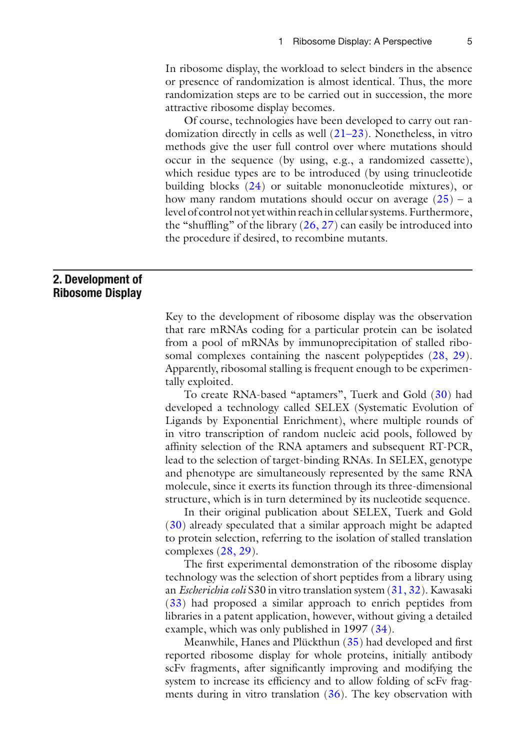In ribosome display, the workload to select binders in the absence or presence of randomization is almost identical. Thus, the more randomization steps are to be carried out in succession, the more attractive ribosome display becomes.

Of course, technologies have been developed to carry out randomization directly in cells as well  $(21-23)$ . Nonetheless, in vitro methods give the user full control over where mutations should occur in the sequence (by using, e.g., a randomized cassette), which residue types are to be introduced (by using trinucleotide building blocks  $(24)$  or suitable mononucleotide mixtures), or how many random mutations should occur on average  $(25)$  – a level of control not yet within reach in cellular systems. Furthermore, the "shuffling" of the library  $(26, 27)$  can easily be introduced into the procedure if desired, to recombine mutants.

### **2. Development of Ribosome Display**

Key to the development of ribosome display was the observation that rare mRNAs coding for a particular protein can be isolated from a pool of mRNAs by immunoprecipitation of stalled ribosomal complexes containing the nascent polypeptides  $(28, 29)$ . Apparently, ribosomal stalling is frequent enough to be experimentally exploited.

To create RNA-based "aptamers", Tuerk and Gold (30) had developed a technology called SELEX (Systematic Evolution of Ligands by Exponential Enrichment), where multiple rounds of in vitro transcription of random nucleic acid pools, followed by affinity selection of the RNA aptamers and subsequent RT-PCR, lead to the selection of target-binding RNAs. In SELEX, genotype and phenotype are simultaneously represented by the same RNA molecule, since it exerts its function through its three-dimensional structure, which is in turn determined by its nucleotide sequence.

In their original publication about SELEX, Tuerk and Gold  $(30)$  already speculated that a similar approach might be adapted to protein selection, referring to the isolation of stalled translation complexes  $(28, 29)$ .

The first experimental demonstration of the ribosome display technology was the selection of short peptides from a library using an *Escherichia coli* S30 in vitro translation system ( [31, 32](#page-22-0)) . Kawasaki  $(33)$  had proposed a similar approach to enrich peptides from libraries in a patent application, however, without giving a detailed example, which was only published in 1997  $(34)$ .

Meanwhile, Hanes and Plückthun  $(35)$  had developed and first reported ribosome display for whole proteins, initially antibody scFv fragments, after significantly improving and modifying the system to increase its efficiency and to allow folding of scFv fragments during in vitro translation  $(36)$ . The key observation with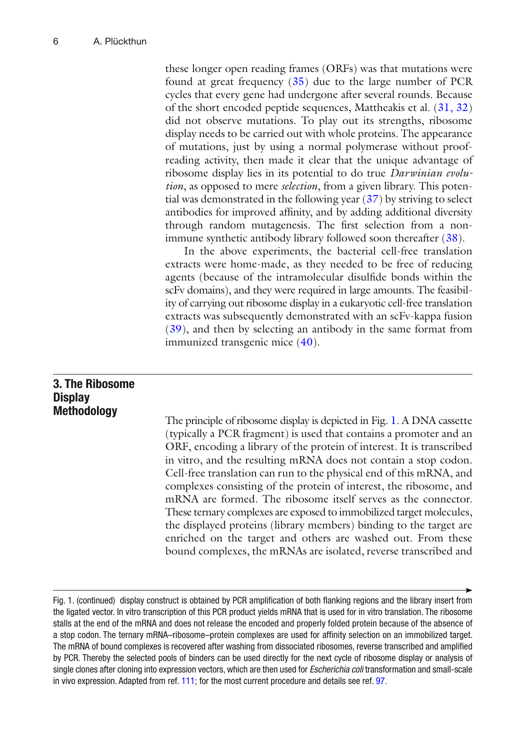these longer open reading frames (ORFs) was that mutations were found at great frequency  $(35)$  due to the large number of PCR cycles that every gene had undergone after several rounds. Because of the short encoded peptide sequences, Mattheakis et al.  $(31, 32)$ did not observe mutations. To play out its strengths, ribosome display needs to be carried out with whole proteins. The appearance of mutations, just by using a normal polymerase without proofreading activity, then made it clear that the unique advantage of ribosome display lies in its potential to do true *Darwinian evolution*, as opposed to mere *selection*, from a given library. This potential was demonstrated in the following year  $(37)$  by striving to select antibodies for improved affinity, and by adding additional diversity through random mutagenesis. The first selection from a nonimmune synthetic antibody library followed soon thereafter  $(38)$ .

In the above experiments, the bacterial cell-free translation extracts were home-made, as they needed to be free of reducing agents (because of the intramolecular disulfide bonds within the scFv domains), and they were required in large amounts. The feasibility of carrying out ribosome display in a eukaryotic cell-free translation extracts was subsequently demonstrated with an scFv-kappa fusion (39), and then by selecting an antibody in the same format from immunized transgenic mice (40).

#### **3. The Ribosome Display Methodology**

The principle of ribosome display is depicted in Fig. [1.](#page-4-0) A DNA cassette (typically a PCR fragment) is used that contains a promoter and an ORF, encoding a library of the protein of interest. It is transcribed in vitro, and the resulting mRNA does not contain a stop codon. Cell-free translation can run to the physical end of this mRNA, and complexes consisting of the protein of interest, the ribosome, and mRNA are formed. The ribosome itself serves as the connector. These ternary complexes are exposed to immobilized target molecules, the displayed proteins (library members) binding to the target are enriched on the target and others are washed out. From these bound complexes, the mRNAs are isolated, reverse transcribed and

Fig. 1. (continued) display construct is obtained by PCR amplification of both flanking regions and the library insert from the ligated vector. In vitro transcription of this PCR product yields mRNA that is used for in vitro translation. The ribosome stalls at the end of the mRNA and does not release the encoded and properly folded protein because of the absence of a stop codon. The ternary mRNA–ribosome–protein complexes are used for affinity selection on an immobilized target. The mRNA of bound complexes is recovered after washing from dissociated ribosomes, reverse transcribed and amplified by PCR. Thereby the selected pools of binders can be used directly for the next cycle of ribosome display or analysis of single clones after cloning into expression vectors, which are then used for *Escherichia coli* transformation and small-scale in vivo expression. Adapted from ref. [111](#page-25-0); for the most current procedure and details see ref. [97](#page-25-0).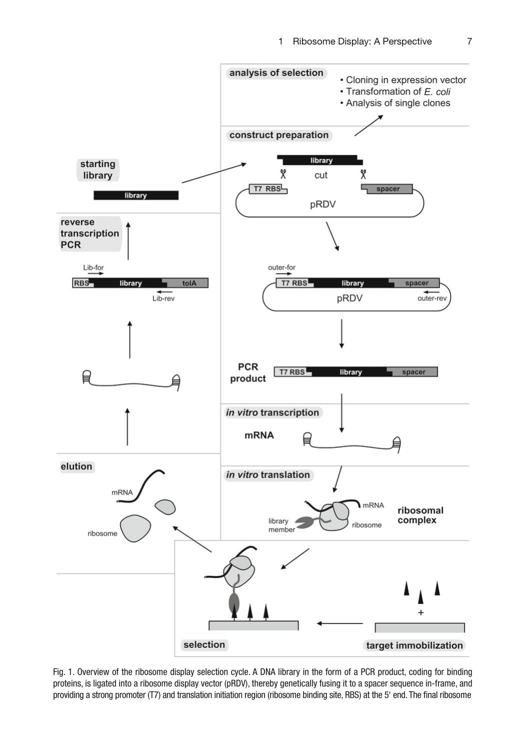<span id="page-4-0"></span>

 Fig. 1. Overview of the ribosome display selection cycle. A DNA library in the form of a PCR product, coding for binding proteins, is ligated into a ribosome display vector (pRDV), thereby genetically fusing it to a spacer sequence in-frame, and providing a strong promoter (T7) and translation initiation region (ribosome binding site, RBS) at the 5' end. The final ribosome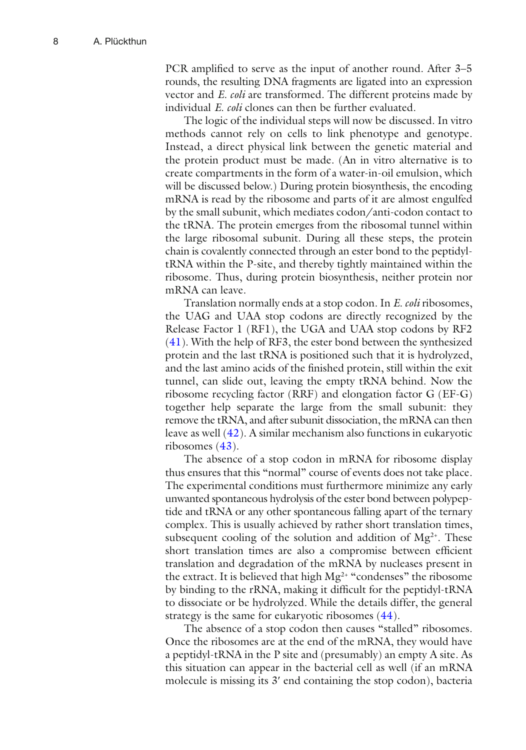PCR amplified to serve as the input of another round. After 3–5 rounds, the resulting DNA fragments are ligated into an expression vector and *E. coli* are transformed. The different proteins made by individual *E. coli* clones can then be further evaluated.

The logic of the individual steps will now be discussed. In vitro methods cannot rely on cells to link phenotype and genotype. Instead, a direct physical link between the genetic material and the protein product must be made. (An in vitro alternative is to create compartments in the form of a water-in-oil emulsion, which will be discussed below.) During protein biosynthesis, the encoding mRNA is read by the ribosome and parts of it are almost engulfed by the small subunit, which mediates codon/anti-codon contact to the tRNA. The protein emerges from the ribosomal tunnel within the large ribosomal subunit. During all these steps, the protein chain is covalently connected through an ester bond to the peptidyltRNA within the P-site, and thereby tightly maintained within the ribosome. Thus, during protein biosynthesis, neither protein nor mRNA can leave.

Translation normally ends at a stop codon. In *E. coli* ribosomes, the UAG and UAA stop codons are directly recognized by the Release Factor 1 (RF1), the UGA and UAA stop codons by RF2  $(41)$ . With the help of RF3, the ester bond between the synthesized protein and the last tRNA is positioned such that it is hydrolyzed, and the last amino acids of the finished protein, still within the exit tunnel, can slide out, leaving the empty tRNA behind. Now the ribosome recycling factor (RRF) and elongation factor G (EF-G) together help separate the large from the small subunit: they remove the tRNA, and after subunit dissociation, the mRNA can then leave as well  $(42)$ . A similar mechanism also functions in eukaryotic ribosomes  $(43)$ .

The absence of a stop codon in mRNA for ribosome display thus ensures that this "normal" course of events does not take place. The experimental conditions must furthermore minimize any early unwanted spontaneous hydrolysis of the ester bond between polypeptide and tRNA or any other spontaneous falling apart of the ternary complex. This is usually achieved by rather short translation times, subsequent cooling of the solution and addition of  $Mg^{2+}$ . These short translation times are also a compromise between efficient translation and degradation of the mRNA by nucleases present in the extract. It is believed that high  $Mg^{2+}$  "condenses" the ribosome by binding to the rRNA, making it difficult for the peptidyl-tRNA to dissociate or be hydrolyzed. While the details differ, the general strategy is the same for eukaryotic ribosomes  $(44)$ .

The absence of a stop codon then causes "stalled" ribosomes. Once the ribosomes are at the end of the mRNA, they would have a peptidyl-tRNA in the P site and (presumably) an empty A site. As this situation can appear in the bacterial cell as well (if an mRNA molecule is missing its 3' end containing the stop codon), bacteria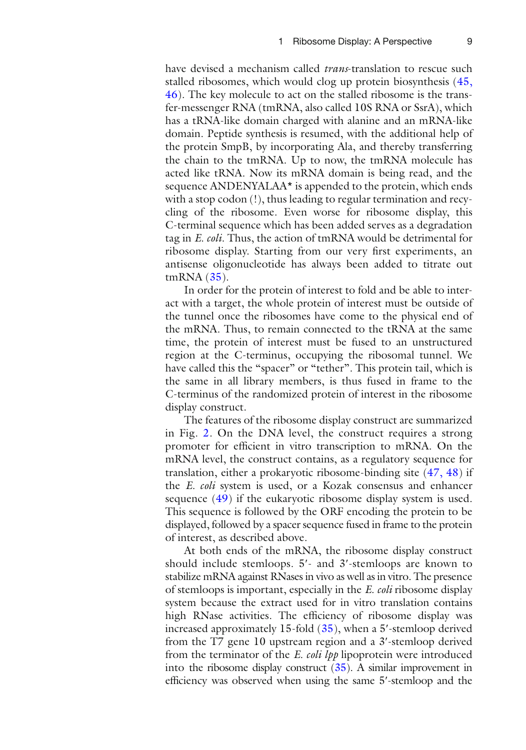have devised a mechanism called *trans*-translation to rescue such stalled ribosomes, which would clog up protein biosynthesis  $(45, 45)$ [46\)](#page-22-0) . The key molecule to act on the stalled ribosome is the transfer-messenger RNA (tmRNA, also called 10S RNA or SsrA), which has a tRNA-like domain charged with alanine and an mRNA-like domain. Peptide synthesis is resumed, with the additional help of the protein SmpB, by incorporating Ala, and thereby transferring the chain to the tmRNA. Up to now, the tmRNA molecule has acted like tRNA. Now its mRNA domain is being read, and the sequence ANDENYALAA\* is appended to the protein, which ends with a stop codon (!), thus leading to regular termination and recycling of the ribosome. Even worse for ribosome display, this C-terminal sequence which has been added serves as a degradation tag in *E. coli*. Thus, the action of tmRNA would be detrimental for ribosome display. Starting from our very first experiments, an antisense oligonucleotide has always been added to titrate out  $tmRNA(35)$ .

In order for the protein of interest to fold and be able to interact with a target, the whole protein of interest must be outside of the tunnel once the ribosomes have come to the physical end of the mRNA. Thus, to remain connected to the tRNA at the same time, the protein of interest must be fused to an unstructured region at the C-terminus, occupying the ribosomal tunnel. We have called this the "spacer" or "tether". This protein tail, which is the same in all library members, is thus fused in frame to the C-terminus of the randomized protein of interest in the ribosome display construct.

The features of the ribosome display construct are summarized in Fig. [2](#page-7-0). On the DNA level, the construct requires a strong promoter for efficient in vitro transcription to mRNA. On the mRNA level, the construct contains, as a regulatory sequence for translation, either a prokaryotic ribosome-binding site  $(47, 48)$  if the *E. coli* system is used, or a Kozak consensus and enhancer sequence  $(49)$  if the eukaryotic ribosome display system is used. This sequence is followed by the ORF encoding the protein to be displayed, followed by a spacer sequence fused in frame to the protein of interest, as described above.

At both ends of the mRNA, the ribosome display construct should include stemloops.  $5'$ - and  $3'$ -stemloops are known to stabilize mRNA against RNases in vivo as well as in vitro. The presence of stemloops is important, especially in the *E. coli* ribosome display system because the extract used for in vitro translation contains high RNase activities. The efficiency of ribosome display was increased approximately 15-fold  $(35)$ , when a 5'-stemloop derived from the T7 gene 10 upstream region and a 3'-stemloop derived from the terminator of the *E. coli lpp* lipoprotein were introduced into the ribosome display construct  $(35)$ . A similar improvement in efficiency was observed when using the same 5'-stemloop and the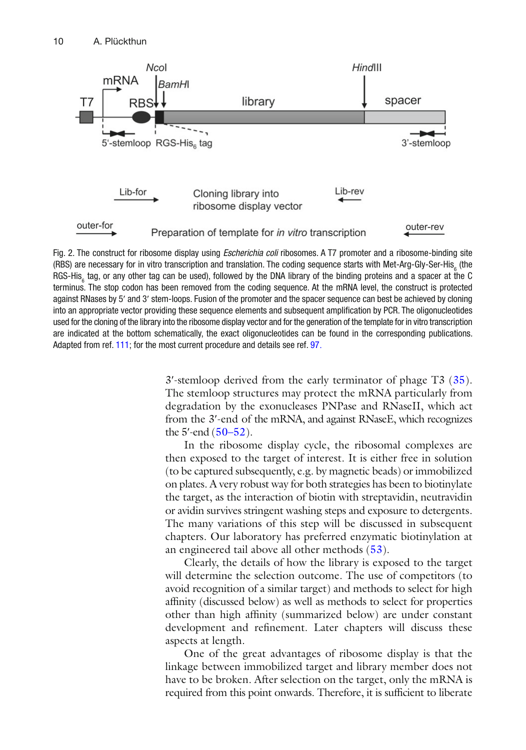<span id="page-7-0"></span>

 Fig. 2. The construct for ribosome display using *Escherichia coli* ribosomes. A T7 promoter and a ribosome-binding site (RBS) are necessary for in vitro transcription and translation. The coding sequence starts with Met-Arg-Gly-Ser-His<sub>6</sub> (the RGS-His<sub>s</sub> tag, or any other tag can be used), followed by the DNA library of the binding proteins and a spacer at the C terminus. The stop codon has been removed from the coding sequence. At the mRNA level, the construct is protected against RNases by 5' and 3' stem-loops. Fusion of the promoter and the spacer sequence can best be achieved by cloning into an appropriate vector providing these sequence elements and subsequent amplification by PCR. The oligonucleotides used for the cloning of the library into the ribosome display vector and for the generation of the template for in vitro transcription are indicated at the bottom schematically, the exact oligonucleotides can be found in the corresponding publications. Adapted from ref. [111](#page-25-0); for the most current procedure and details see ref. [97](#page-25-0).

 $3'$ -stemloop derived from the early terminator of phage T $3$  ( $35$ ). The stemloop structures may protect the mRNA particularly from degradation by the exonucleases PNPase and RNaseII, which act from the 3'-end of the mRNA, and against RNaseE, which recognizes the 5'-end  $(50-52)$  $(50-52)$ .

In the ribosome display cycle, the ribosomal complexes are then exposed to the target of interest. It is either free in solution (to be captured subsequently, e.g. by magnetic beads) or immobilized on plates. A very robust way for both strategies has been to biotinylate the target, as the interaction of biotin with streptavidin, neutravidin or avidin survives stringent washing steps and exposure to detergents. The many variations of this step will be discussed in subsequent chapters. Our laboratory has preferred enzymatic biotinylation at an engineered tail above all other methods  $(53)$ .

Clearly, the details of how the library is exposed to the target will determine the selection outcome. The use of competitors (to avoid recognition of a similar target) and methods to select for high affinity (discussed below) as well as methods to select for properties other than high affinity (summarized below) are under constant development and refinement. Later chapters will discuss these aspects at length.

One of the great advantages of ribosome display is that the linkage between immobilized target and library member does not have to be broken. After selection on the target, only the mRNA is required from this point onwards. Therefore, it is sufficient to liberate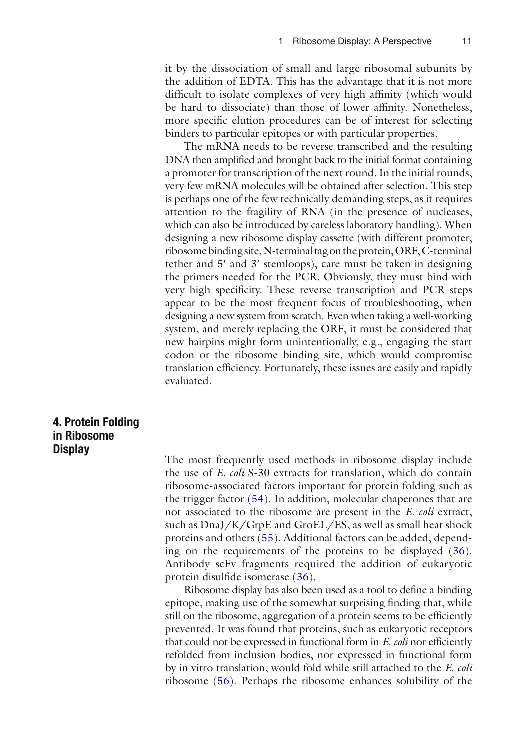it by the dissociation of small and large ribosomal subunits by the addition of EDTA. This has the advantage that it is not more difficult to isolate complexes of very high affinity (which would be hard to dissociate) than those of lower affinity. Nonetheless, more specific elution procedures can be of interest for selecting binders to particular epitopes or with particular properties.

The mRNA needs to be reverse transcribed and the resulting DNA then amplified and brought back to the initial format containing a promoter for transcription of the next round. In the initial rounds, very few mRNA molecules will be obtained after selection. This step is perhaps one of the few technically demanding steps, as it requires attention to the fragility of RNA (in the presence of nucleases, which can also be introduced by careless laboratory handling). When designing a new ribosome display cassette (with different promoter, ribosome binding site, N-terminal tag on the protein, ORF, C-terminal tether and  $5'$  and  $3'$  stemloops), care must be taken in designing the primers needed for the PCR. Obviously, they must bind with very high specificity. These reverse transcription and PCR steps appear to be the most frequent focus of troubleshooting, when designing a new system from scratch. Even when taking a well-working system, and merely replacing the ORF, it must be considered that new hairpins might form unintentionally, e.g., engaging the start codon or the ribosome binding site, which would compromise translation efficiency. Fortunately, these issues are easily and rapidly evaluated.

#### **4. Protein Folding in Ribosome Display**

The most frequently used methods in ribosome display include the use of *E. coli* S-30 extracts for translation, which do contain ribosome-associated factors important for protein folding such as the trigger factor  $(54)$ . In addition, molecular chaperones that are not associated to the ribosome are present in the *E. coli* extract, such as DnaJ/K/GrpE and GroEL/ES, as well as small heat shock proteins and others (55). Additional factors can be added, depending on the requirements of the proteins to be displayed  $(36)$ . Antibody scFv fragments required the addition of eukaryotic protein disulfide isomerase  $(36)$ .

Ribosome display has also been used as a tool to define a binding epitope, making use of the somewhat surprising finding that, while still on the ribosome, aggregation of a protein seems to be efficiently prevented. It was found that proteins, such as eukaryotic receptors that could not be expressed in functional form in *E. coli* nor efficiently refolded from inclusion bodies, nor expressed in functional form by in vitro translation, would fold while still attached to the *E. coli* ribosome  $(56)$ . Perhaps the ribosome enhances solubility of the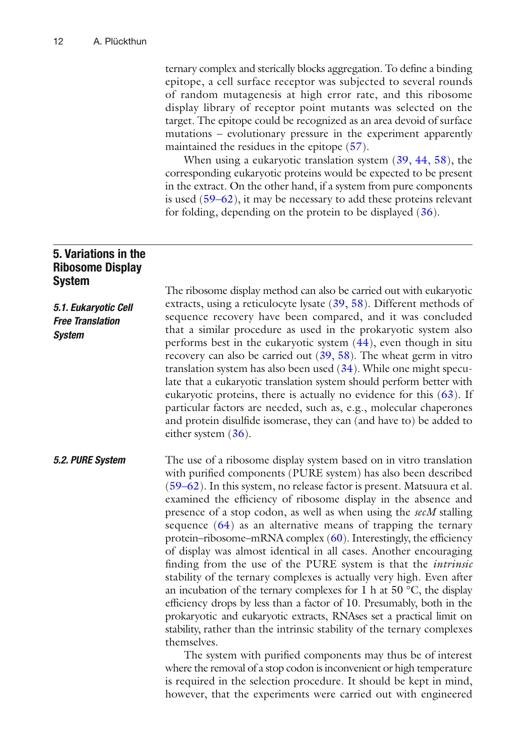ternary complex and sterically blocks aggregation. To define a binding epitope, a cell surface receptor was subjected to several rounds of random mutagenesis at high error rate, and this ribosome display library of receptor point mutants was selected on the target. The epitope could be recognized as an area devoid of surface mutations – evolutionary pressure in the experiment apparently maintained the residues in the epitope  $(57)$ .

When using a eukaryotic translation system  $(39, 44, 58)$  $(39, 44, 58)$ , the corresponding eukaryotic proteins would be expected to be present in the extract. On the other hand, if a system from pure components is used  $(59-62)$ , it may be necessary to add these proteins relevant for folding, depending on the protein to be displayed  $(36)$ .

#### **5. Variations in the Ribosome Display System**

 *5.1. Eukaryotic Cell Free Translation* 

*System*

The ribosome display method can also be carried out with eukaryotic extracts, using a reticulocyte lysate  $(39, 58)$  $(39, 58)$ . Different methods of sequence recovery have been compared, and it was concluded that a similar procedure as used in the prokaryotic system also performs best in the eukaryotic system  $(44)$ , even though in situ recovery can also be carried out  $(39, 58)$  $(39, 58)$ . The wheat germ in vitro translation system has also been used  $(34)$ . While one might speculate that a eukaryotic translation system should perform better with eukaryotic proteins, there is actually no evidence for this  $(63)$ . If particular factors are needed, such as, e.g., molecular chaperones and protein disulfide isomerase, they can (and have to) be added to either system  $(36)$ .

The use of a ribosome display system based on in vitro translation with purified components (PURE system) has also been described ( [59–62\)](#page-23-0) . In this system, no release factor is present. Matsuura et al. examined the efficiency of ribosome display in the absence and presence of a stop codon, as well as when using the *secM* stalling sequence  $(64)$  as an alternative means of trapping the ternary protein–ribosome–mRNA complex  $(60)$ . Interestingly, the efficiency of display was almost identical in all cases. Another encouraging finding from the use of the PURE system is that the *intrinsic* stability of the ternary complexes is actually very high. Even after an incubation of the ternary complexes for 1 h at 50  $^{\circ}$ C, the display efficiency drops by less than a factor of 10. Presumably, both in the prokaryotic and eukaryotic extracts, RNAses set a practical limit on stability, rather than the intrinsic stability of the ternary complexes themselves.  *5.2. PURE System*

> The system with purified components may thus be of interest where the removal of a stop codon is inconvenient or high temperature is required in the selection procedure. It should be kept in mind, however, that the experiments were carried out with engineered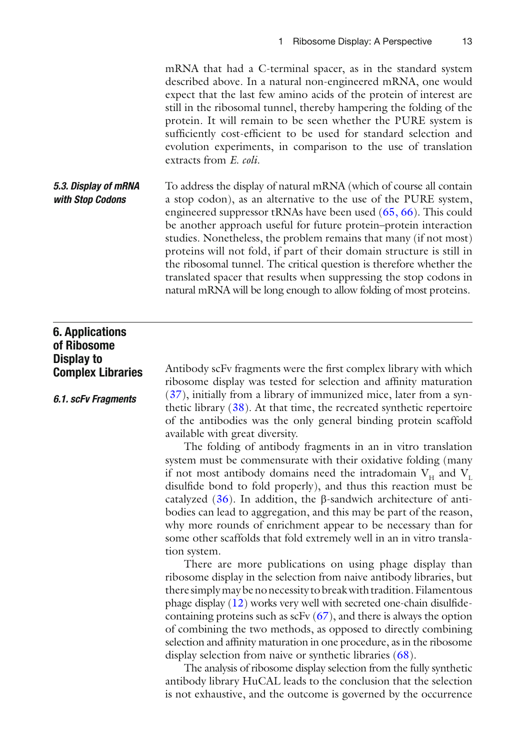|                                          | mRNA that had a C-terminal spacer, as in the standard system<br>described above. In a natural non-engineered mRNA, one would<br>expect that the last few amino acids of the protein of interest are<br>still in the ribosomal tunnel, thereby hampering the folding of the<br>protein. It will remain to be seen whether the PURE system is<br>sufficiently cost-efficient to be used for standard selection and<br>evolution experiments, in comparison to the use of translation<br>extracts from E. coli.                                                                                                                                         |
|------------------------------------------|------------------------------------------------------------------------------------------------------------------------------------------------------------------------------------------------------------------------------------------------------------------------------------------------------------------------------------------------------------------------------------------------------------------------------------------------------------------------------------------------------------------------------------------------------------------------------------------------------------------------------------------------------|
| 5.3. Display of mRNA<br>with Stop Codons | To address the display of natural mRNA (which of course all contain<br>a stop codon), as an alternative to the use of the PURE system,<br>engineered suppressor tRNAs have been used $(65, 66)$ . This could<br>be another approach useful for future protein-protein interaction<br>studies. Nonetheless, the problem remains that many (if not most)<br>proteins will not fold, if part of their domain structure is still in<br>the ribosomal tunnel. The critical question is therefore whether the<br>translated spacer that results when suppressing the stop codons in<br>natural mRNA will be long enough to allow folding of most proteins. |

#### **6. Applications of Ribosome Display to Complex Libraries**

 *6.1. scFv Fragments*

Antibody scFv fragments were the first complex library with which ribosome display was tested for selection and affinity maturation (37), initially from a library of immunized mice, later from a synthetic library  $(38)$ . At that time, the recreated synthetic repertoire of the antibodies was the only general binding protein scaffold available with great diversity.

The folding of antibody fragments in an in vitro translation system must be commensurate with their oxidative folding (many if not most antibody domains need the intradomain  $V_{\rm H}$  and  $V_{\rm L}$ disulfide bond to fold properly), and thus this reaction must be catalyzed  $(36)$ . In addition, the  $\beta$ -sandwich architecture of antibodies can lead to aggregation, and this may be part of the reason, why more rounds of enrichment appear to be necessary than for some other scaffolds that fold extremely well in an in vitro translation system.

There are more publications on using phage display than ribosome display in the selection from naive antibody libraries, but there simply may be no necessity to break with tradition. Filamentous phage display  $(12)$  works very well with secreted one-chain disulfidecontaining proteins such as scFv  $(67)$ , and there is always the option of combining the two methods, as opposed to directly combining selection and affinity maturation in one procedure, as in the ribosome display selection from naive or synthetic libraries  $(68)$ .

The analysis of ribosome display selection from the fully synthetic antibody library HuCAL leads to the conclusion that the selection is not exhaustive, and the outcome is governed by the occurrence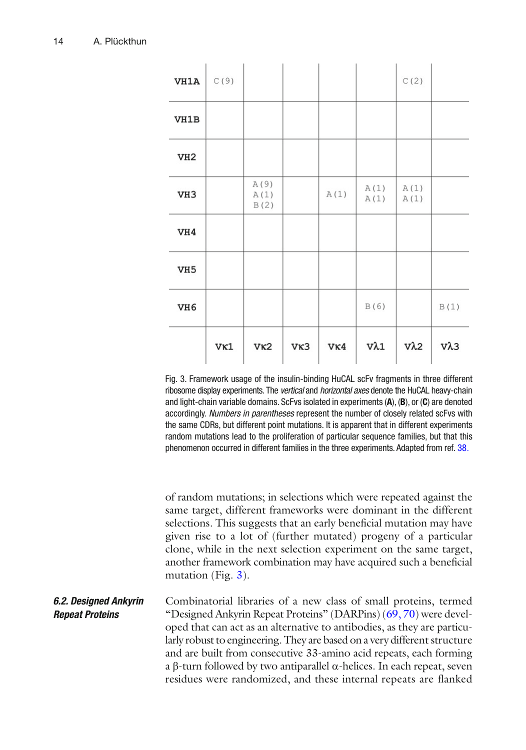| VH1A            | C(9) |                      |     |      |              | C(2)         |              |
|-----------------|------|----------------------|-----|------|--------------|--------------|--------------|
| <b>VH1B</b>     |      |                      |     |      |              |              |              |
| VH <sub>2</sub> |      |                      |     |      |              |              |              |
| VH3             |      | A(9)<br>A(1)<br>B(2) |     | A(1) | A(1)<br>A(1) | A(1)<br>A(1) |              |
| VH4             |      |                      |     |      |              |              |              |
| VH <sub>5</sub> |      |                      |     |      |              |              |              |
| VH <sub>6</sub> |      |                      |     |      | B(6)         |              | B(1)         |
|                 | VK1  | VK <sub>2</sub>      | VK3 | VK4  | $v\lambda$ 1 | $v\lambda$ 2 | $v\lambda$ 3 |

 Fig. 3. Framework usage of the insulin-binding HuCAL scFv fragments in three different ribosome display experiments. The *vertical* and *horizontal axes* denote the HuCAL heavy-chain and light-chain variable domains. ScFvs isolated in experiments ( **A** ), ( **B** ), or ( **C** ) are denoted accordingly. *Numbers in parentheses* represent the number of closely related scFvs with the same CDRs, but different point mutations. It is apparent that in different experiments random mutations lead to the proliferation of particular sequence families, but that this phenomenon occurred in different families in the three experiments. Adapted from ref. [38](#page-22-0).

of random mutations; in selections which were repeated against the same target, different frameworks were dominant in the different selections. This suggests that an early beneficial mutation may have given rise to a lot of (further mutated) progeny of a particular clone, while in the next selection experiment on the same target, another framework combination may have acquired such a beneficial mutation (Fig.  $3$ ).

Combinatorial libraries of a new class of small proteins, termed "Designed Ankyrin Repeat Proteins" (DARPins) (69, 70) were developed that can act as an alternative to antibodies, as they are particularly robust to engineering. They are based on a very different structure and are built from consecutive 33-amino acid repeats, each forming a  $\beta$ -turn followed by two antiparallel  $\alpha$ -helices. In each repeat, seven residues were randomized, and these internal repeats are flanked  *6.2. Designed Ankyrin Repeat Proteins*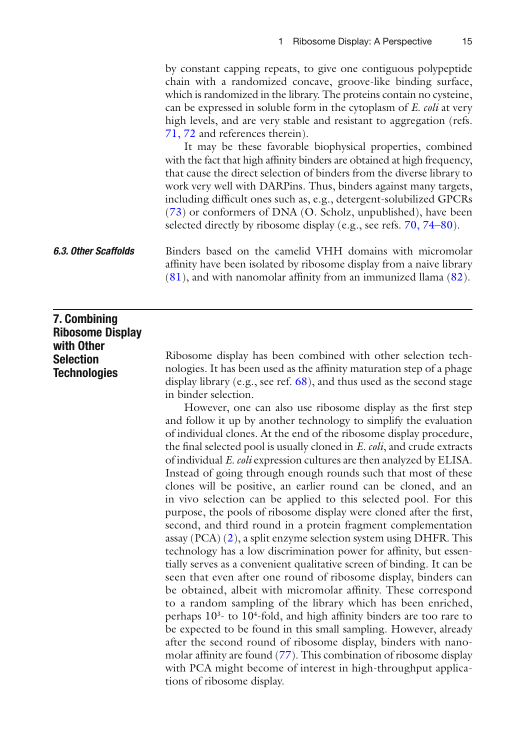|                      | by constant capping repeats, to give one contiguous polypeptide<br>chain with a randomized concave, groove-like binding surface,<br>which is randomized in the library. The proteins contain no cysteine,<br>can be expressed in soluble form in the cytoplasm of E. coli at very<br>high levels, and are very stable and resistant to aggregation (refs.<br>71, 72 and references therein).                                                                                                            |
|----------------------|---------------------------------------------------------------------------------------------------------------------------------------------------------------------------------------------------------------------------------------------------------------------------------------------------------------------------------------------------------------------------------------------------------------------------------------------------------------------------------------------------------|
|                      | It may be these favorable biophysical properties, combined<br>with the fact that high affinity binders are obtained at high frequency,<br>that cause the direct selection of binders from the diverse library to<br>work very well with DARPins. Thus, binders against many targets,<br>including difficult ones such as, e.g., detergent-solubilized GPCRs<br>$(73)$ or conformers of DNA (O. Scholz, unpublished), have been<br>selected directly by ribosome display (e.g., see refs. $70, 74-80$ ). |
| 6.3. Other Scaffolds | Binders based on the camelid VHH domains with micromolar<br>affinity have been isolated by ribosome display from a naive library<br>$(81)$ , and with nanomolar affinity from an immunized llama $(82)$ .                                                                                                                                                                                                                                                                                               |

### **7. Combining Ribosome Display with Other Selection Technologies**

Ribosome display has been combined with other selection technologies. It has been used as the affinity maturation step of a phage display library (e.g., see ref.  $68$ ), and thus used as the second stage in binder selection.

However, one can also use ribosome display as the first step and follow it up by another technology to simplify the evaluation of individual clones. At the end of the ribosome display procedure, the final selected pool is usually cloned in *E. coli*, and crude extracts of individual *E. coli* expression cultures are then analyzed by ELISA. Instead of going through enough rounds such that most of these clones will be positive, an earlier round can be cloned, and an in vivo selection can be applied to this selected pool. For this purpose, the pools of ribosome display were cloned after the first, second, and third round in a protein fragment complementation assay (PCA)  $(2)$ , a split enzyme selection system using DHFR. This technology has a low discrimination power for affinity, but essentially serves as a convenient qualitative screen of binding. It can be seen that even after one round of ribosome display, binders can be obtained, albeit with micromolar affinity. These correspond to a random sampling of the library which has been enriched, perhaps  $10<sup>3</sup>$  to  $10<sup>4</sup>$ -fold, and high affinity binders are too rare to be expected to be found in this small sampling. However, already after the second round of ribosome display, binders with nanomolar affinity are found  $(77)$ . This combination of ribosome display with PCA might become of interest in high-throughput applications of ribosome display.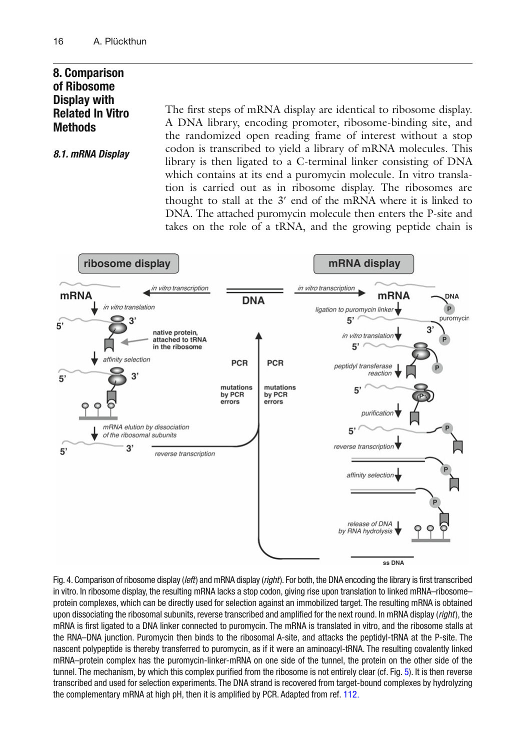### <span id="page-13-0"></span> **8. Comparison of Ribosome Display with Related In Vitro Methods**

 *8.1. mRNA Display*

The first steps of mRNA display are identical to ribosome display. A DNA library, encoding promoter, ribosome-binding site, and the randomized open reading frame of interest without a stop codon is transcribed to yield a library of mRNA molecules. This library is then ligated to a C-terminal linker consisting of DNA which contains at its end a puromycin molecule. In vitro translation is carried out as in ribosome display. The ribosomes are thought to stall at the  $3'$  end of the mRNA where it is linked to DNA. The attached puromycin molecule then enters the P-site and takes on the role of a tRNA, and the growing peptide chain is



Fig. 4. Comparison of ribosome display (*left*) and mRNA display (*right*). For both, the DNA encoding the library is first transcribed in vitro. In ribosome display, the resulting mRNA lacks a stop codon, giving rise upon translation to linked mRNA–ribosome– protein complexes, which can be directly used for selection against an immobilized target. The resulting mRNA is obtained upon dissociating the ribosomal subunits, reverse transcribed and amplified for the next round. In mRNA display (*right*), the mRNA is first ligated to a DNA linker connected to puromycin. The mRNA is translated in vitro, and the ribosome stalls at the RNA–DNA junction. Puromycin then binds to the ribosomal A-site, and attacks the peptidyl-tRNA at the P-site. The nascent polypeptide is thereby transferred to puromycin, as if it were an aminoacyl-tRNA. The resulting covalently linked mRNA–protein complex has the puromycin-linker-mRNA on one side of the tunnel, the protein on the other side of the tunnel. The mechanism, by which this complex purified from the ribosome is not entirely clear (cf. Fig. 5). It is then reverse transcribed and used for selection experiments. The DNA strand is recovered from target-bound complexes by hydrolyzing the complementary mRNA at high pH, then it is amplified by PCR. Adapted from ref. [112](#page-25-0).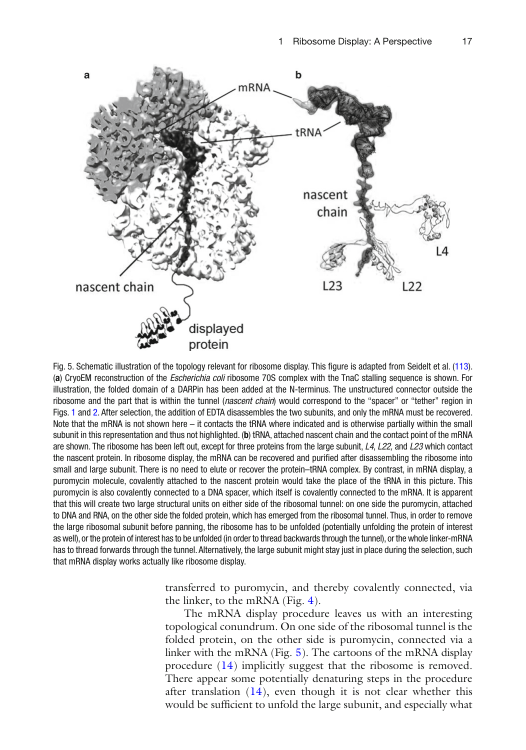<span id="page-14-0"></span>

Fig. 5. Schematic illustration of the topology relevant for ribosome display. This figure is adapted from Seidelt et al. (113). ( **a** ) CryoEM reconstruction of the *Escherichia coli* ribosome 70S complex with the TnaC stalling sequence is shown. For illustration, the folded domain of a DARPin has been added at the N-terminus. The unstructured connector outside the ribosome and the part that is within the tunnel (*nascent chain*) would correspond to the "spacer" or "tether" region in Figs. [1](#page-4-0) and [2 .](#page-7-0) After selection, the addition of EDTA disassembles the two subunits, and only the mRNA must be recovered. Note that the mRNA is not shown here – it contacts the tRNA where indicated and is otherwise partially within the small subunit in this representation and thus not highlighted. (**b**) tRNA, attached nascent chain and the contact point of the mRNA are shown. The ribosome has been left out, except for three proteins from the large subunit, *L4* , *L22,* and *L23* which contact the nascent protein. In ribosome display, the mRNA can be recovered and purified after disassembling the ribosome into small and large subunit. There is no need to elute or recover the protein–tRNA complex. By contrast, in mRNA display, a puromycin molecule, covalently attached to the nascent protein would take the place of the tRNA in this picture. This puromycin is also covalently connected to a DNA spacer, which itself is covalently connected to the mRNA. It is apparent that this will create two large structural units on either side of the ribosomal tunnel: on one side the puromycin, attached to DNA and RNA, on the other side the folded protein, which has emerged from the ribosomal tunnel. Thus, in order to remove the large ribosomal subunit before panning, the ribosome has to be unfolded (potentially unfolding the protein of interest as well), or the protein of interest has to be unfolded (in order to thread backwards through the tunnel), or the whole linker-mRNA has to thread forwards through the tunnel. Alternatively, the large subunit might stay just in place during the selection, such that mRNA display works actually like ribosome display.

transferred to puromycin, and thereby covalently connected, via the linker, to the mRNA (Fig. [4](#page-13-0)).

The mRNA display procedure leaves us with an interesting topological conundrum. On one side of the ribosomal tunnel is the folded protein, on the other side is puromycin, connected via a linker with the mRNA (Fig. 5). The cartoons of the mRNA display procedure  $(14)$  implicitly suggest that the ribosome is removed. There appear some potentially denaturing steps in the procedure after translation  $(14)$ , even though it is not clear whether this would be sufficient to unfold the large subunit, and especially what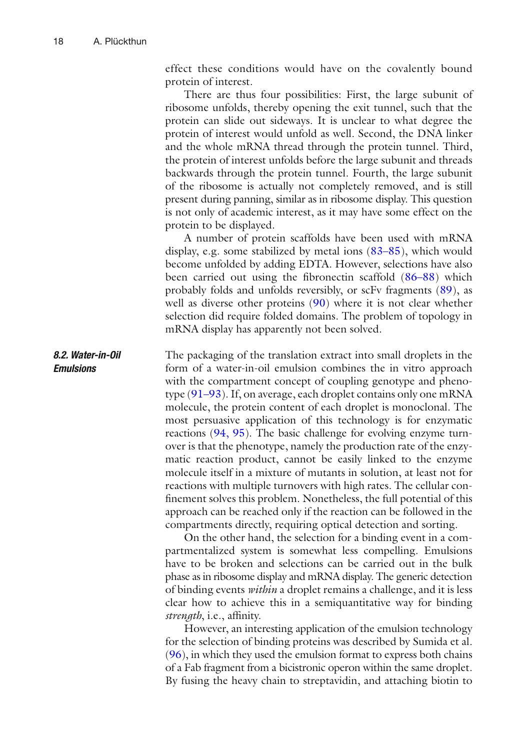effect these conditions would have on the covalently bound protein of interest.

There are thus four possibilities: First, the large subunit of ribosome unfolds, thereby opening the exit tunnel, such that the protein can slide out sideways. It is unclear to what degree the protein of interest would unfold as well. Second, the DNA linker and the whole mRNA thread through the protein tunnel. Third, the protein of interest unfolds before the large subunit and threads backwards through the protein tunnel. Fourth, the large subunit of the ribosome is actually not completely removed, and is still present during panning, similar as in ribosome display. This question is not only of academic interest, as it may have some effect on the protein to be displayed.

A number of protein scaffolds have been used with mRNA display, e.g. some stabilized by metal ions  $(83-85)$ , which would become unfolded by adding EDTA. However, selections have also been carried out using the fibronectin scaffold  $(86-88)$  which probably folds and unfolds reversibly, or scFv fragments (89), as well as diverse other proteins  $(90)$  where it is not clear whether selection did require folded domains. The problem of topology in mRNA display has apparently not been solved.

The packaging of the translation extract into small droplets in the form of a water-in-oil emulsion combines the in vitro approach with the compartment concept of coupling genotype and phenotype (91-93). If, on average, each droplet contains only one mRNA molecule, the protein content of each droplet is monoclonal. The most persuasive application of this technology is for enzymatic reactions  $(94, 95)$ . The basic challenge for evolving enzyme turnover is that the phenotype, namely the production rate of the enzymatic reaction product, cannot be easily linked to the enzyme molecule itself in a mixture of mutants in solution, at least not for reactions with multiple turnovers with high rates. The cellular confinement solves this problem. Nonetheless, the full potential of this approach can be reached only if the reaction can be followed in the compartments directly, requiring optical detection and sorting.  *8.2. Water-in-Oil Emulsions*

> On the other hand, the selection for a binding event in a compartmentalized system is somewhat less compelling. Emulsions have to be broken and selections can be carried out in the bulk phase as in ribosome display and mRNA display. The generic detection of binding events *within* a droplet remains a challenge, and it is less clear how to achieve this in a semiquantitative way for binding *strength*, i.e., affinity.

> However, an interesting application of the emulsion technology for the selection of binding proteins was described by Sumida et al.  $(96)$ , in which they used the emulsion format to express both chains of a Fab fragment from a bicistronic operon within the same droplet. By fusing the heavy chain to streptavidin, and attaching biotin to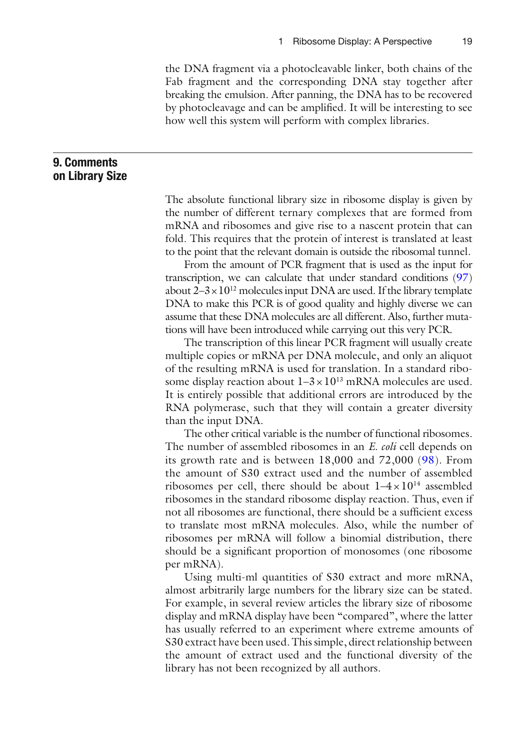the DNA fragment via a photocleavable linker, both chains of the Fab fragment and the corresponding DNA stay together after breaking the emulsion. After panning, the DNA has to be recovered by photocleavage and can be amplified. It will be interesting to see how well this system will perform with complex libraries.

#### **9. Comments on Library Size**

The absolute functional library size in ribosome display is given by the number of different ternary complexes that are formed from mRNA and ribosomes and give rise to a nascent protein that can fold. This requires that the protein of interest is translated at least to the point that the relevant domain is outside the ribosomal tunnel.

From the amount of PCR fragment that is used as the input for transcription, we can calculate that under standard conditions (97) about  $2-3 \times 10^{12}$  molecules input DNA are used. If the library template DNA to make this PCR is of good quality and highly diverse we can assume that these DNA molecules are all different. Also, further mutations will have been introduced while carrying out this very PCR.

The transcription of this linear PCR fragment will usually create multiple copies or mRNA per DNA molecule, and only an aliquot of the resulting mRNA is used for translation. In a standard ribosome display reaction about  $1-3 \times 10^{13}$  mRNA molecules are used. It is entirely possible that additional errors are introduced by the RNA polymerase, such that they will contain a greater diversity than the input DNA.

The other critical variable is the number of functional ribosomes. The number of assembled ribosomes in an *E. coli* cell depends on its growth rate and is between  $18,000$  and  $72,000$   $(98)$ . From the amount of S30 extract used and the number of assembled ribosomes per cell, there should be about  $1-4 \times 10^{14}$  assembled ribosomes in the standard ribosome display reaction. Thus, even if not all ribosomes are functional, there should be a sufficient excess to translate most mRNA molecules. Also, while the number of ribosomes per mRNA will follow a binomial distribution, there should be a significant proportion of monosomes (one ribosome per mRNA).

Using multi-ml quantities of S30 extract and more mRNA, almost arbitrarily large numbers for the library size can be stated. For example, in several review articles the library size of ribosome display and mRNA display have been "compared", where the latter has usually referred to an experiment where extreme amounts of S30 extract have been used. This simple, direct relationship between the amount of extract used and the functional diversity of the library has not been recognized by all authors.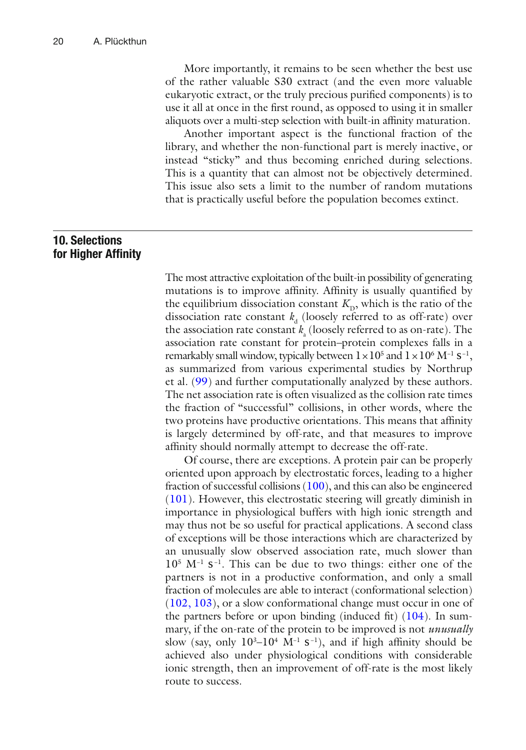More importantly, it remains to be seen whether the best use of the rather valuable S30 extract (and the even more valuable eukaryotic extract, or the truly precious purified components) is to use it all at once in the first round, as opposed to using it in smaller aliquots over a multi-step selection with built-in affinity maturation.

Another important aspect is the functional fraction of the library, and whether the non-functional part is merely inactive, or instead "sticky" and thus becoming enriched during selections. This is a quantity that can almost not be objectively determined. This issue also sets a limit to the number of random mutations that is practically useful before the population becomes extinct.

#### **10. Selections for Higher Affinity**

The most attractive exploitation of the built-in possibility of generating mutations is to improve affinity. Affinity is usually quantified by the equilibrium dissociation constant  $K<sub>D</sub>$ , which is the ratio of the dissociation rate constant  $k_d$  (loosely referred to as off-rate) over the association rate constant  $k_a$  (loosely referred to as on-rate). The association rate constant for protein–protein complexes falls in a remarkably small window, typically between  $1 \times 10^5$  and  $1 \times 10^6$  M<sup>-1</sup> S<sup>-1</sup>, as summarized from various experimental studies by Northrup et al.  $(99)$  and further computationally analyzed by these authors. The net association rate is often visualized as the collision rate times the fraction of "successful" collisions, in other words, where the two proteins have productive orientations. This means that affinity is largely determined by off-rate, and that measures to improve affinity should normally attempt to decrease the off-rate.

Of course, there are exceptions. A protein pair can be properly oriented upon approach by electrostatic forces, leading to a higher fraction of successful collisions  $(100)$ , and this can also be engineered ( [101](#page-25-0)) . However, this electrostatic steering will greatly diminish in importance in physiological buffers with high ionic strength and may thus not be so useful for practical applications. A second class of exceptions will be those interactions which are characterized by an unusually slow observed association rate, much slower than 10<sup>5</sup> M<sup>-1</sup> s<sup>-1</sup>. This can be due to two things: either one of the partners is not in a productive conformation, and only a small fraction of molecules are able to interact (conformational selection) ( [102, 103\)](#page-25-0) , or a slow conformational change must occur in one of the partners before or upon binding (induced fit)  $(104)$ . In summary, if the on-rate of the protein to be improved is not *unusually* slow (say, only  $10^3 - 10^4$  M<sup>-1</sup> s<sup>-1</sup>), and if high affinity should be achieved also under physiological conditions with considerable ionic strength, then an improvement of off-rate is the most likely route to success.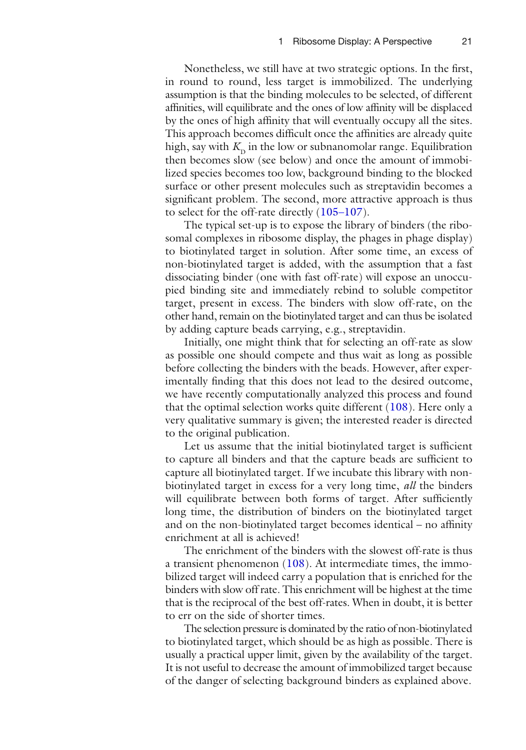Nonetheless, we still have at two strategic options. In the first, in round to round, less target is immobilized. The underlying assumption is that the binding molecules to be selected, of different affinities, will equilibrate and the ones of low affinity will be displaced by the ones of high affinity that will eventually occupy all the sites. This approach becomes difficult once the affinities are already quite high, say with  $K_{\rm p}$  in the low or subnanomolar range. Equilibration then becomes slow (see below) and once the amount of immobilized species becomes too low, background binding to the blocked surface or other present molecules such as streptavidin becomes a significant problem. The second, more attractive approach is thus to select for the off-rate directly  $(105-107)$ .

The typical set-up is to expose the library of binders (the ribosomal complexes in ribosome display, the phages in phage display) to biotinylated target in solution. After some time, an excess of non-biotinylated target is added, with the assumption that a fast dissociating binder (one with fast off-rate) will expose an unoccupied binding site and immediately rebind to soluble competitor target, present in excess. The binders with slow off-rate, on the other hand, remain on the biotinylated target and can thus be isolated by adding capture beads carrying, e.g., streptavidin.

Initially, one might think that for selecting an off-rate as slow as possible one should compete and thus wait as long as possible before collecting the binders with the beads. However, after experimentally finding that this does not lead to the desired outcome, we have recently computationally analyzed this process and found that the optimal selection works quite different  $(108)$ . Here only a very qualitative summary is given; the interested reader is directed to the original publication.

Let us assume that the initial biotinylated target is sufficient to capture all binders and that the capture beads are sufficient to capture all biotinylated target. If we incubate this library with nonbiotinylated target in excess for a very long time, *all* the binders will equilibrate between both forms of target. After sufficiently long time, the distribution of binders on the biotinylated target and on the non-biotinylated target becomes identical  $-$  no affinity enrichment at all is achieved!

The enrichment of the binders with the slowest off-rate is thus a transient phenomenon  $(108)$ . At intermediate times, the immobilized target will indeed carry a population that is enriched for the binders with slow off rate. This enrichment will be highest at the time that is the reciprocal of the best off-rates. When in doubt, it is better to err on the side of shorter times.

The selection pressure is dominated by the ratio of non-biotinylated to biotinylated target, which should be as high as possible. There is usually a practical upper limit, given by the availability of the target. It is not useful to decrease the amount of immobilized target because of the danger of selecting background binders as explained above.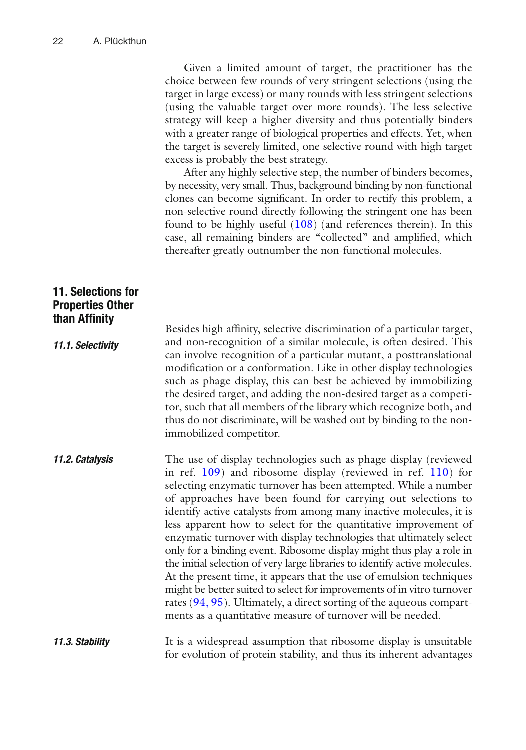Given a limited amount of target, the practitioner has the choice between few rounds of very stringent selections (using the target in large excess) or many rounds with less stringent selections (using the valuable target over more rounds). The less selective strategy will keep a higher diversity and thus potentially binders with a greater range of biological properties and effects. Yet, when the target is severely limited, one selective round with high target excess is probably the best strategy.

After any highly selective step, the number of binders becomes, by necessity, very small. Thus, background binding by non-functional clones can become significant. In order to rectify this problem, a non-selective round directly following the stringent one has been found to be highly useful  $(108)$  (and references therein). In this case, all remaining binders are "collected" and amplified, which thereafter greatly outnumber the non-functional molecules.

| <b>11. Selections for</b><br><b>Properties Other</b><br>than Affinity | Besides high affinity, selective discrimination of a particular target,                                                                                                                                                                                                                                                                                                                                                                                                                                                                                                                                                                                                                                                                                                                                                                                                                                                            |
|-----------------------------------------------------------------------|------------------------------------------------------------------------------------------------------------------------------------------------------------------------------------------------------------------------------------------------------------------------------------------------------------------------------------------------------------------------------------------------------------------------------------------------------------------------------------------------------------------------------------------------------------------------------------------------------------------------------------------------------------------------------------------------------------------------------------------------------------------------------------------------------------------------------------------------------------------------------------------------------------------------------------|
| 11.1. Selectivity                                                     | and non-recognition of a similar molecule, is often desired. This<br>can involve recognition of a particular mutant, a posttranslational<br>modification or a conformation. Like in other display technologies<br>such as phage display, this can best be achieved by immobilizing<br>the desired target, and adding the non-desired target as a competi-<br>tor, such that all members of the library which recognize both, and<br>thus do not discriminate, will be washed out by binding to the non-<br>immobilized competitor.                                                                                                                                                                                                                                                                                                                                                                                                 |
| 11.2. Catalysis                                                       | The use of display technologies such as phage display (reviewed<br>in ref. 109) and ribosome display (reviewed in ref. 110) for<br>selecting enzymatic turnover has been attempted. While a number<br>of approaches have been found for carrying out selections to<br>identify active catalysts from among many inactive molecules, it is<br>less apparent how to select for the quantitative improvement of<br>enzymatic turnover with display technologies that ultimately select<br>only for a binding event. Ribosome display might thus play a role in<br>the initial selection of very large libraries to identify active molecules.<br>At the present time, it appears that the use of emulsion techniques<br>might be better suited to select for improvements of in vitro turnover<br>rates (94, 95). Ultimately, a direct sorting of the aqueous compart-<br>ments as a quantitative measure of turnover will be needed. |
| 11.3. Stability                                                       | It is a widespread assumption that ribosome display is unsuitable<br>for evolution of protein stability, and thus its inherent advantages                                                                                                                                                                                                                                                                                                                                                                                                                                                                                                                                                                                                                                                                                                                                                                                          |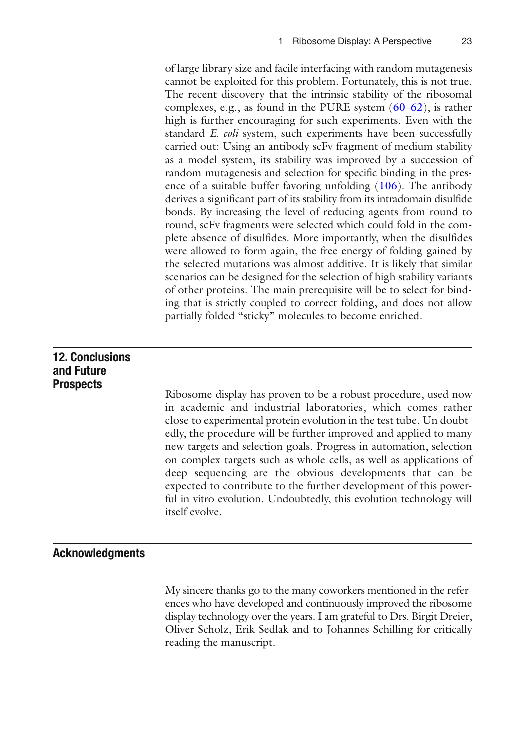of large library size and facile interfacing with random mutagenesis cannot be exploited for this problem. Fortunately, this is not true. The recent discovery that the intrinsic stability of the ribosomal complexes, e.g., as found in the PURE system  $(60-62)$ , is rather high is further encouraging for such experiments. Even with the standard *E. coli* system, such experiments have been successfully carried out: Using an antibody scFv fragment of medium stability as a model system, its stability was improved by a succession of random mutagenesis and selection for specific binding in the presence of a suitable buffer favoring unfolding  $(106)$ . The antibody derives a significant part of its stability from its intradomain disulfide bonds. By increasing the level of reducing agents from round to round, scFv fragments were selected which could fold in the complete absence of disulfides. More importantly, when the disulfides were allowed to form again, the free energy of folding gained by the selected mutations was almost additive. It is likely that similar scenarios can be designed for the selection of high stability variants of other proteins. The main prerequisite will be to select for binding that is strictly coupled to correct folding, and does not allow partially folded "sticky" molecules to become enriched.

#### **12. Conclusions and Future Prospects**

Ribosome display has proven to be a robust procedure, used now in academic and industrial laboratories, which comes rather close to experimental protein evolution in the test tube. Un doubtedly, the procedure will be further improved and applied to many new targets and selection goals. Progress in automation, selection on complex targets such as whole cells, as well as applications of deep sequencing are the obvious developments that can be expected to contribute to the further development of this powerful in vitro evolution. Undoubtedly, this evolution technology will itself evolve.

#### **Acknowledgments**

My sincere thanks go to the many coworkers mentioned in the references who have developed and continuously improved the ribosome display technology over the years. I am grateful to Drs. Birgit Dreier, Oliver Scholz, Erik Sedlak and to Johannes Schilling for critically reading the manuscript.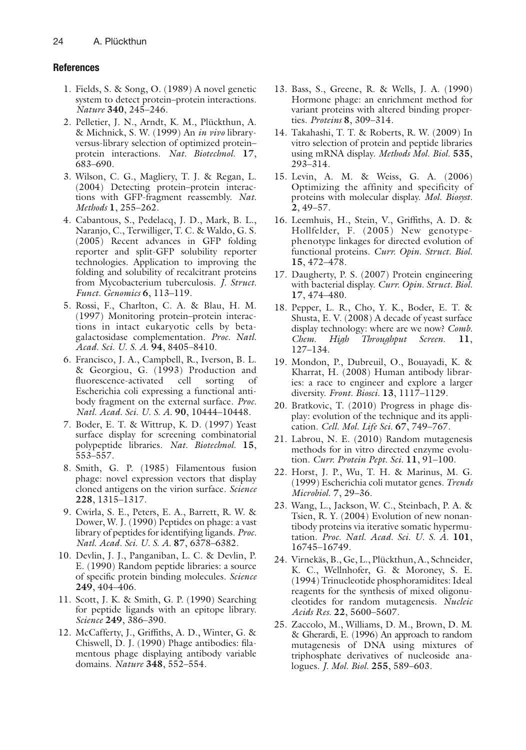#### <span id="page-21-0"></span> **References**

- 1. Fields, S. & Song, O. (1989) A novel genetic system to detect protein–protein interactions. *Nature* **340**, 245–246.
- 2. Pelletier, J. N., Arndt, K. M., Plückthun, A. & Michnick, S. W. (1999) An *in vivo* libraryversus-library selection of optimized protein– protein interactions. *Nat. Biotechnol.* **17**, 683–690.
- 3. Wilson, C. G., Magliery, T. J. & Regan, L. (2004) Detecting protein–protein interactions with GFP-fragment reassembly. *Nat. Methods* **1**, 255–262.
- 4. Cabantous, S., Pedelacq, J. D., Mark, B. L., Naranjo, C., Terwilliger, T. C. & Waldo, G. S. (2005) Recent advances in GFP folding reporter and split-GFP solubility reporter technologies. Application to improving the folding and solubility of recalcitrant proteins from Mycobacterium tuberculosis. *J. Struct. Funct. Genomics* **6**, 113–119.
- 5. Rossi, F., Charlton, C. A. & Blau, H. M. (1997) Monitoring protein–protein interactions in intact eukaryotic cells by betagalactosidase complementation. *Proc. Natl. Acad. Sci. U. S. A.* **94**, 8405–8410.
- 6. Francisco, J. A., Campbell, R., Iverson, B. L. & Georgiou, G. (1993) Production and fluorescence-activated cell sorting of Escherichia coli expressing a functional antibody fragment on the external surface. *Proc. Natl. Acad. Sci. U. S. A.* **90**, 10444–10448.
- 7. Boder, E. T. & Wittrup, K. D. (1997) Yeast surface display for screening combinatorial polypeptide libraries. *Nat. Biotechnol.* **15**, 553–557.
- 8. Smith, G. P. (1985) Filamentous fusion phage: novel expression vectors that display cloned antigens on the virion surface. *Science* **228**, 1315–1317.
- 9. Cwirla, S. E., Peters, E. A., Barrett, R. W. & Dower, W. J. (1990) Peptides on phage: a vast library of peptides for identifying ligands. *Proc. Natl. Acad. Sci. U. S. A.* **87**, 6378–6382.
- 10. Devlin, J. J., Panganiban, L. C. & Devlin, P. E. (1990) Random peptide libraries: a source of specific protein binding molecules. *Science* **249**, 404–406.
- 11. Scott, J. K. & Smith, G. P. (1990) Searching for peptide ligands with an epitope library. *Science* **249**, 386–390.
- 12. McCafferty, J., Griffiths, A. D., Winter, G. & Chiswell, D. J. (1990) Phage antibodies: filamentous phage displaying antibody variable domains. *Nature* **348**, 552–554.
- 13. Bass, S., Greene, R. & Wells, J. A. (1990) Hormone phage: an enrichment method for variant proteins with altered binding properties. *Proteins* **8**, 309–314.
- 14. Takahashi, T. T. & Roberts, R. W. (2009) In vitro selection of protein and peptide libraries using mRNA display. *Methods Mol. Biol.* **535**, 293–314.
- 15. Levin, A. M. & Weiss, G. A. (2006) Optimizing the affinity and specificity of proteins with molecular display. *Mol. Biosyst.* **2**, 49–57.
- 16. Leemhuis, H., Stein, V., Griffiths, A. D. & Hollfelder, F. (2005) New genotypephenotype linkages for directed evolution of functional proteins. *Curr. Opin. Struct. Biol.* **15**, 472–478.
- 17. Daugherty, P. S. (2007) Protein engineering with bacterial display. *Curr. Opin. Struct. Biol.* **17**, 474–480.
- 18. Pepper, L. R., Cho, Y. K., Boder, E. T. & Shusta, E. V. (2008) A decade of yeast surface display technology: where are we now? *Comb. Chem. High Throughput Screen.* **11**, 127–134.
- 19. Mondon, P., Dubreuil, O., Bouayadi, K. & Kharrat, H. (2008) Human antibody libraries: a race to engineer and explore a larger diversity. *Front. Biosci.* **13**, 1117–1129.
- 20. Bratkovic, T. (2010) Progress in phage display: evolution of the technique and its application. *Cell. Mol. Life Sci.* **67**, 749–767.
- 21. Labrou, N. E. (2010) Random mutagenesis methods for in vitro directed enzyme evolution. *Curr. Protein Pept. Sci.* **11**, 91–100.
- 22. Horst, J. P., Wu, T. H. & Marinus, M. G. (1999) Escherichia coli mutator genes. *Trends Microbiol.* **7**, 29–36.
- 23. Wang, L., Jackson, W. C., Steinbach, P. A. & Tsien, R. Y. (2004) Evolution of new nonantibody proteins via iterative somatic hypermutation. *Proc. Natl. Acad. Sci. U. S. A.* **101**, 16745–16749.
- 24. Virnekäs, B., Ge, L., Plückthun, A., Schneider, K. C., Wellnhofer, G. & Moroney, S. E. (1994) Trinucleotide phosphoramidites: Ideal reagents for the synthesis of mixed oligonucleotides for random mutagenesis. *Nucleic Acids Res.* **22**, 5600–5607.
- 25. Zaccolo, M., Williams, D. M., Brown, D. M. & Gherardi, E. (1996) An approach to random mutagenesis of DNA using mixtures of triphosphate derivatives of nucleoside analogues. *J. Mol. Biol.* **255**, 589–603.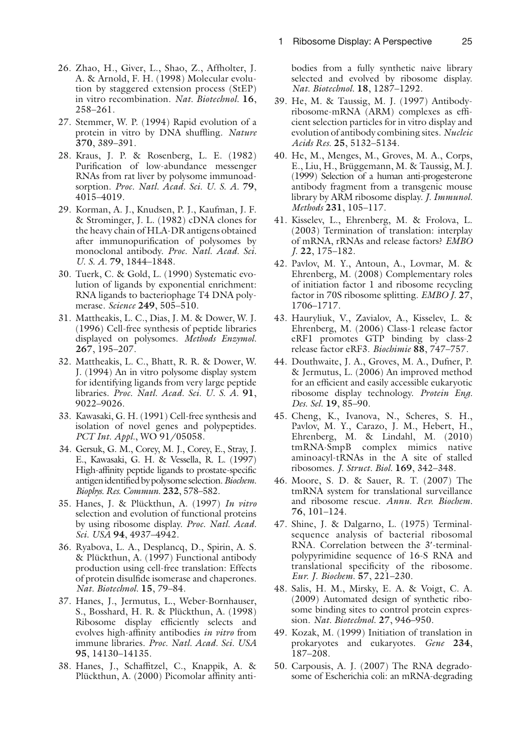- <span id="page-22-0"></span> 26. Zhao, H., Giver, L., Shao, Z., Affholter, J. A. & Arnold, F. H. (1998) Molecular evolution by staggered extension process (StEP) in vitro recombination. *Nat. Biotechnol.* **16**, 258–261.
- 27. Stemmer, W. P. (1994) Rapid evolution of a protein in vitro by DNA shuffling. *Nature* **370**, 389–391.
- 28. Kraus, J. P. & Rosenberg, L. E. (1982) Purification of low-abundance messenger RNAs from rat liver by polysome immunoadsorption. *Proc. Natl. Acad. Sci. U. S. A.* **79**, 4015–4019.
- 29. Korman, A. J., Knudsen, P. J., Kaufman, J. F. & Strominger, J. L. (1982) cDNA clones for the heavy chain of HLA-DR antigens obtained after immunopurification of polysomes by monoclonal antibody. *Proc. Natl. Acad. Sci. U. S. A.* **79**, 1844–1848.
- 30. Tuerk, C. & Gold, L. (1990) Systematic evolution of ligands by exponential enrichment: RNA ligands to bacteriophage T4 DNA polymerase. *Science* **249**, 505–510.
- 31. Mattheakis, L. C., Dias, J. M. & Dower, W. J. (1996) Cell-free synthesis of peptide libraries displayed on polysomes. *Methods Enzymol.* **267**, 195–207.
- 32. Mattheakis, L. C., Bhatt, R. R. & Dower, W. J. (1994) An in vitro polysome display system for identifying ligands from very large peptide libraries. *Proc. Natl. Acad. Sci. U. S. A.* **91**, 9022–9026.
- 33. Kawasaki, G. H. (1991) Cell-free synthesis and isolation of novel genes and polypeptides. *PCT Int. Appl.*, WO 91/05058.
- 34. Gersuk, G. M., Corey, M. J., Corey, E., Stray, J. E., Kawasaki, G. H. & Vessella, R. L. (1997) High-affinity peptide ligands to prostate-specific antigen identified by polysome selection. *Biochem*. *Biophys. Res. Commun.* **232**, 578–582.
- 35. Hanes, J. & Plückthun, A. (1997) *In vitro* selection and evolution of functional proteins by using ribosome display. *Proc. Natl. Acad. Sci. USA* **94**, 4937–4942.
- 36. Ryabova, L. A., Desplancq, D., Spirin, A. S. & Plückthun, A. (1997) Functional antibody production using cell-free translation: Effects of protein disulfide isomerase and chaperones. *Nat. Biotechnol.* **15**, 79–84.
- 37. Hanes, J., Jermutus, L., Weber-Bornhauser, S., Bosshard, H. R. & Plückthun, A. (1998) Ribosome display efficiently selects and evolves high-affinity antibodies *in vitro* from immune libraries. *Proc. Natl. Acad. Sci. USA* **95**, 14130–14135.
- 38. Hanes, J., Schaffitzel, C., Knappik, A. & Plückthun, A. (2000) Picomolar affinity anti-

bodies from a fully synthetic naive library selected and evolved by ribosome display. *Nat. Biotechnol.* **18**, 1287–1292.

- 39. He, M. & Taussig, M. J. (1997) Antibodyribosome-mRNA (ARM) complexes as efficient selection particles for in vitro display and evolution of antibody combining sites. *Nucleic Acids Res.* **25**, 5132–5134.
- 40. He, M., Menges, M., Groves, M. A., Corps, E., Liu, H., Brüggemann, M. & Taussig, M. J. (1999) Selection of a human anti-progesterone antibody fragment from a transgenic mouse library by ARM ribosome display. *J. Immunol. Methods* **231**, 105–117.
- 41. Kisselev, L., Ehrenberg, M. & Frolova, L. (2003) Termination of translation: interplay of mRNA, rRNAs and release factors? *EMBO J.* **22**, 175–182.
- 42. Pavlov, M. Y., Antoun, A., Lovmar, M. & Ehrenberg, M. (2008) Complementary roles of initiation factor 1 and ribosome recycling factor in 70S ribosome splitting. *EMBO J.* **27**, 1706–1717.
- 43. Hauryliuk, V., Zavialov, A., Kisselev, L. & Ehrenberg, M. (2006) Class-1 release factor eRF1 promotes GTP binding by class-2 release factor eRF3. *Biochimie* **88**, 747–757.
- 44. Douthwaite, J. A., Groves, M. A., Dufner, P. & Jermutus, L. (2006) An improved method for an efficient and easily accessible eukaryotic ribosome display technology. *Protein Eng. Des. Sel.* **19**, 85–90.
- 45. Cheng, K., Ivanova, N., Scheres, S. H., Pavlov, M. Y., Carazo, J. M., Hebert, H., Ehrenberg, M. & Lindahl, M. (2010) tmRNA·SmpB complex mimics native aminoacyl-tRNAs in the A site of stalled ribosomes. *J. Struct. Biol.* **169**, 342–348.
- 46. Moore, S. D. & Sauer, R. T. (2007) The tmRNA system for translational surveillance and ribosome rescue. *Annu. Rev. Biochem.* **76**, 101–124.
- 47. Shine, J. & Dalgarno, L. (1975) Terminalsequence analysis of bacterial ribosomal RNA. Correlation between the 3'-terminalpolypyrimidine sequence of 16-S RNA and translational specificity of the ribosome. *Eur. J. Biochem.* **57**, 221–230.
- 48. Salis, H. M., Mirsky, E. A. & Voigt, C. A. (2009) Automated design of synthetic ribosome binding sites to control protein expression. *Nat. Biotechnol.* **27**, 946–950.
- 49. Kozak, M. (1999) Initiation of translation in prokaryotes and eukaryotes. *Gene* **234**, 187–208.
- 50. Carpousis, A. J. (2007) The RNA degradosome of Escherichia coli: an mRNA-degrading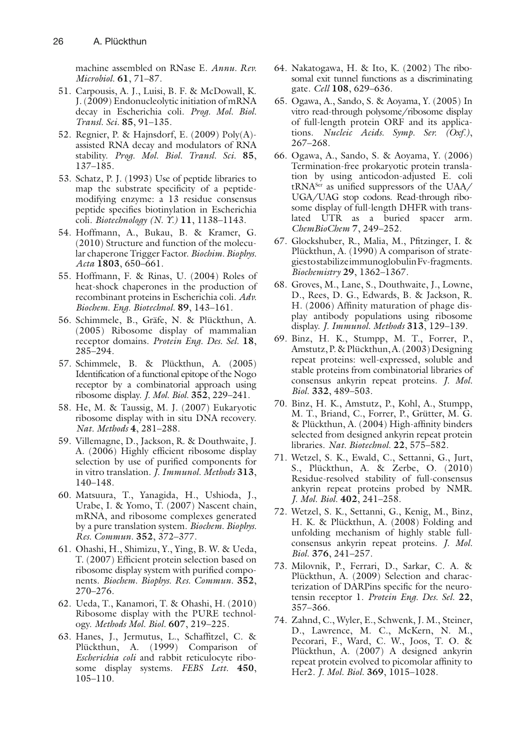<span id="page-23-0"></span>machine assembled on RNase E. *Annu. Rev. Microbiol.* **61**, 71–87.

- 51. Carpousis, A. J., Luisi, B. F. & McDowall, K. J. (2009) Endonucleolytic initiation of mRNA decay in Escherichia coli. *Prog. Mol. Biol. Transl. Sci.* **85**, 91–135.
- 52. Regnier, P. & Hajnsdorf, E. (2009) Poly(A) assisted RNA decay and modulators of RNA stability. *Prog. Mol. Biol. Transl. Sci.* **85**, 137–185.
- 53. Schatz, P. J. (1993) Use of peptide libraries to map the substrate specificity of a peptidemodifying enzyme: a 13 residue consensus peptide specifies biotinylation in Escherichia coli. *Biotechnology (N. Y.)* **11**, 1138–1143.
- 54. Hoffmann, A., Bukau, B. & Kramer, G. (2010) Structure and function of the molecular chaperone Trigger Factor. *Biochim. Biophys. Acta* **1803**, 650–661.
- 55. Hoffmann, F. & Rinas, U. (2004) Roles of heat-shock chaperones in the production of recombinant proteins in Escherichia coli. *Adv. Biochem. Eng. Biotechnol.* **89**, 143–161.
- 56. Schimmele, B., Gräfe, N. & Plückthun, A. (2005) Ribosome display of mammalian receptor domains. *Protein Eng. Des. Sel.* **18**, 285–294.
- 57. Schimmele, B. & Plückthun, A. (2005) Identification of a functional epitope of the Nogo receptor by a combinatorial approach using ribosome display. *J. Mol. Biol.* **352**, 229–241.
- 58. He, M. & Taussig, M. J. (2007) Eukaryotic ribosome display with in situ DNA recovery. *Nat. Methods* **4**, 281–288.
- 59. Villemagne, D., Jackson, R. & Douthwaite, J. A. (2006) Highly efficient ribosome display selection by use of purified components for in vitro translation. *J. Immunol. Methods* **313**, 140–148.
- 60. Matsuura, T., Yanagida, H., Ushioda, J., Urabe, I. & Yomo, T. (2007) Nascent chain, mRNA, and ribosome complexes generated by a pure translation system. *Biochem. Biophys. Res. Commun.* **352**, 372–377.
- 61. Ohashi, H., Shimizu, Y., Ying, B. W. & Ueda, T. (2007) Efficient protein selection based on ribosome display system with purified components. *Biochem. Biophys. Res. Commun.* **352**, 270–276.
- 62. Ueda, T., Kanamori, T. & Ohashi, H. (2010) Ribosome display with the PURE technology. *Methods Mol. Biol.* **607**, 219–225.
- 63. Hanes, J., Jermutus, L., Schaffitzel, C. & Plückthun, A. (1999) Comparison of *Escherichia coli* and rabbit reticulocyte ribosome display systems. *FEBS Lett.* **450**, 105–110.
- 64. Nakatogawa, H. & Ito, K. (2002) The ribosomal exit tunnel functions as a discriminating gate. *Cell* **108**, 629–636.
- 65. Ogawa, A., Sando, S. & Aoyama, Y. (2005) In vitro read-through polysome/ribosome display of full-length protein ORF and its applications. *Nucleic Acids. Symp. Ser. (Oxf.)*, 267–268.
- 66. Ogawa, A., Sando, S. & Aoyama, Y. (2006) Termination-free prokaryotic protein translation by using anticodon-adjusted E. coli  $t\text{RNA}^{\text{Ser}}$  as unified suppressors of the UAA/ UGA/UAG stop codons. Read-through ribosome display of full-length DHFR with translated UTR as a buried spacer arm. *ChemBioChem* **7**, 249–252.
- 67. Glockshuber, R., Malia, M., Pfitzinger, I. & Plückthun, A. (1990) A comparison of strategies to stabilize immunoglobulin Fv-fragments. *Biochemistry* **29**, 1362–1367.
- 68. Groves, M., Lane, S., Douthwaite, J., Lowne, D., Rees, D. G., Edwards, B. & Jackson, R. H. (2006) Affinity maturation of phage display antibody populations using ribosome display. *J. Immunol. Methods* **313**, 129–139.
- 69. Binz, H. K., Stumpp, M. T., Forrer, P., Amstutz, P. & Plückthun, A. (2003) Designing repeat proteins: well-expressed, soluble and stable proteins from combinatorial libraries of consensus ankyrin repeat proteins. *J. Mol. Biol.* **332**, 489–503.
- 70. Binz, H. K., Amstutz, P., Kohl, A., Stumpp, M. T., Briand, C., Forrer, P., Grütter, M. G. & Plückthun, A. (2004) High-affinity binders selected from designed ankyrin repeat protein libraries. *Nat. Biotechnol.* **22**, 575–582.
- 71. Wetzel, S. K., Ewald, C., Settanni, G., Jurt, S., Plückthun, A. & Zerbe, O. (2010) Residue-resolved stability of full-consensus ankyrin repeat proteins probed by NMR. *J. Mol. Biol.* **402**, 241–258.
- 72. Wetzel, S. K., Settanni, G., Kenig, M., Binz, H. K. & Plückthun, A. (2008) Folding and unfolding mechanism of highly stable fullconsensus ankyrin repeat proteins. *J. Mol. Biol.* **376**, 241–257.
- 73. Milovnik, P., Ferrari, D., Sarkar, C. A. & Plückthun, A. (2009) Selection and characterization of DARPins specific for the neurotensin receptor 1. *Protein Eng. Des. Sel.* **22**, 357–366.
- 74. Zahnd, C., Wyler, E., Schwenk, J. M., Steiner, D., Lawrence, M. C., McKern, N. M., Pecorari, F., Ward, C. W., Joos, T. O. & Plückthun, A. (2007) A designed ankyrin repeat protein evolved to picomolar affinity to Her2. *J. Mol. Biol.* **369**, 1015–1028.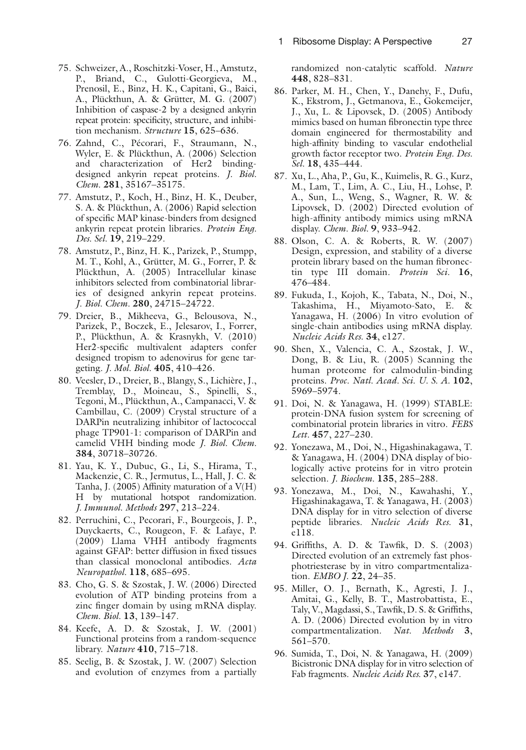- <span id="page-24-0"></span> 75. Schweizer, A., Roschitzki-Voser, H., Amstutz, P., Briand, C., Gulotti-Georgieva, M., Prenosil, E., Binz, H. K., Capitani, G., Baici, A., Plückthun, A. & Grütter, M. G. (2007) Inhibition of caspase-2 by a designed ankyrin repeat protein: specificity, structure, and inhibition mechanism. *Structure* **15**, 625–636.
- 76. Zahnd, C., Pécorari, F., Straumann, N., Wyler, E. & Plückthun, A. (2006) Selection and characterization of Her2 bindingdesigned ankyrin repeat proteins. *J. Biol. Chem.* **281**, 35167–35175.
- 77. Amstutz, P., Koch, H., Binz, H. K., Deuber, S. A. & Plückthun, A. (2006) Rapid selection of specific MAP kinase-binders from designed ankyrin repeat protein libraries. *Protein Eng. Des. Sel.* **19**, 219–229.
- 78. Amstutz, P., Binz, H. K., Parizek, P., Stumpp, M. T., Kohl, A., Grütter, M. G., Forrer, P. & Plückthun, A. (2005) Intracellular kinase inhibitors selected from combinatorial libraries of designed ankyrin repeat proteins. *J. Biol. Chem.* **280**, 24715–24722.
- 79. Dreier, B., Mikheeva, G., Belousova, N., Parizek, P., Boczek, E., Jelesarov, I., Forrer, P., Plückthun, A. & Krasnykh, V. (2010) Her2-specific multivalent adapters confer designed tropism to adenovirus for gene targeting. *J. Mol. Biol.* **405** , 410–426.
- 80. Veesler, D., Dreier, B., Blangy, S., Lichière, J., Tremblay, D., Moineau, S., Spinelli, S., Tegoni, M., Plückthun, A., Campanacci, V. & Cambillau, C. (2009) Crystal structure of a DARPin neutralizing inhibitor of lactococcal phage TP901-1: comparison of DARPin and camelid VHH binding mode *J. Biol. Chem.* **384**, 30718–30726.
- 81. Yau, K. Y., Dubuc, G., Li, S., Hirama, T., Mackenzie, C. R., Jermutus, L., Hall, J. C. & Tanha, J. (2005) Affinity maturation of a  $V(H)$ H by mutational hotspot randomization. *J. Immunol. Methods* **297**, 213–224.
- 82. Perruchini, C., Pecorari, F., Bourgeois, J. P., Duyckaerts, C., Rougeon, F. & Lafaye, P. (2009) Llama VHH antibody fragments against GFAP: better diffusion in fixed tissues than classical monoclonal antibodies. *Acta Neuropathol.* **118**, 685–695.
- 83. Cho, G. S. & Szostak, J. W. (2006) Directed evolution of ATP binding proteins from a zinc finger domain by using mRNA display. *Chem. Biol.* **13**, 139–147.
- 84. Keefe, A. D. & Szostak, J. W. (2001) Functional proteins from a random-sequence library. *Nature* **410**, 715–718.
- 85. Seelig, B. & Szostak, J. W. (2007) Selection and evolution of enzymes from a partially

randomized non-catalytic scaffold. *Nature* **448**, 828–831.

- 86. Parker, M. H., Chen, Y., Danehy, F., Dufu, K., Ekstrom, J., Getmanova, E., Gokemeijer, J., Xu, L. & Lipovsek, D. (2005) Antibody mimics based on human fibronectin type three domain engineered for thermostability and high-affinity binding to vascular endothelial growth factor receptor two. *Protein Eng. Des. Sel.* **18**, 435–444.
- 87. Xu, L., Aha, P., Gu, K., Kuimelis, R. G., Kurz, M., Lam, T., Lim, A. C., Liu, H., Lohse, P. A., Sun, L., Weng, S., Wagner, R. W. & Lipovsek, D. (2002) Directed evolution of high-affinity antibody mimics using mRNA display. *Chem. Biol.* **9**, 933–942.
- 88. Olson, C. A. & Roberts, R. W. (2007) Design, expression, and stability of a diverse protein library based on the human fibronectin type III domain. *Protein Sci.* **16**, 476–484.
- 89. Fukuda, I., Kojoh, K., Tabata, N., Doi, N., Takashima, H., Miyamoto-Sato, E. & Yanagawa, H. (2006) In vitro evolution of single-chain antibodies using mRNA display. *Nucleic Acids Res.* **34**, e127.
- 90. Shen, X., Valencia, C. A., Szostak, J. W., Dong, B. & Liu, R. (2005) Scanning the human proteome for calmodulin-binding proteins. *Proc. Natl. Acad. Sci. U. S. A.* **102**, 5969–5974.
- 91. Doi, N. & Yanagawa, H. (1999) STABLE: protein-DNA fusion system for screening of combinatorial protein libraries in vitro. *FEBS Lett.* **457**, 227–230.
- 92. Yonezawa, M., Doi, N., Higashinakagawa, T. & Yanagawa, H. (2004) DNA display of biologically active proteins for in vitro protein selection. *J. Biochem.* **135**, 285–288.
- 93. Yonezawa, M., Doi, N., Kawahashi, Y., Higashinakagawa, T. & Yanagawa, H. (2003) DNA display for in vitro selection of diverse peptide libraries. *Nucleic Acids Res.* **31**, e118.
- 94. Griffiths, A. D. & Tawfik, D. S. (2003) Directed evolution of an extremely fast phosphotriesterase by in vitro compartmentalization. *EMBO J.* **22**, 24–35.
- 95. Miller, O. J., Bernath, K., Agresti, J. J., Amitai, G., Kelly, B. T., Mastrobattista, E., Taly, V., Magdassi, S., Tawfik, D. S. & Griffiths, A. D. (2006) Directed evolution by in vitro compartmentalization. *Nat. Methods* **3**, 561–570.
- 96. Sumida, T., Doi, N. & Yanagawa, H. (2009) Bicistronic DNA display for in vitro selection of Fab fragments. *Nucleic Acids Res.* **37**, e147.